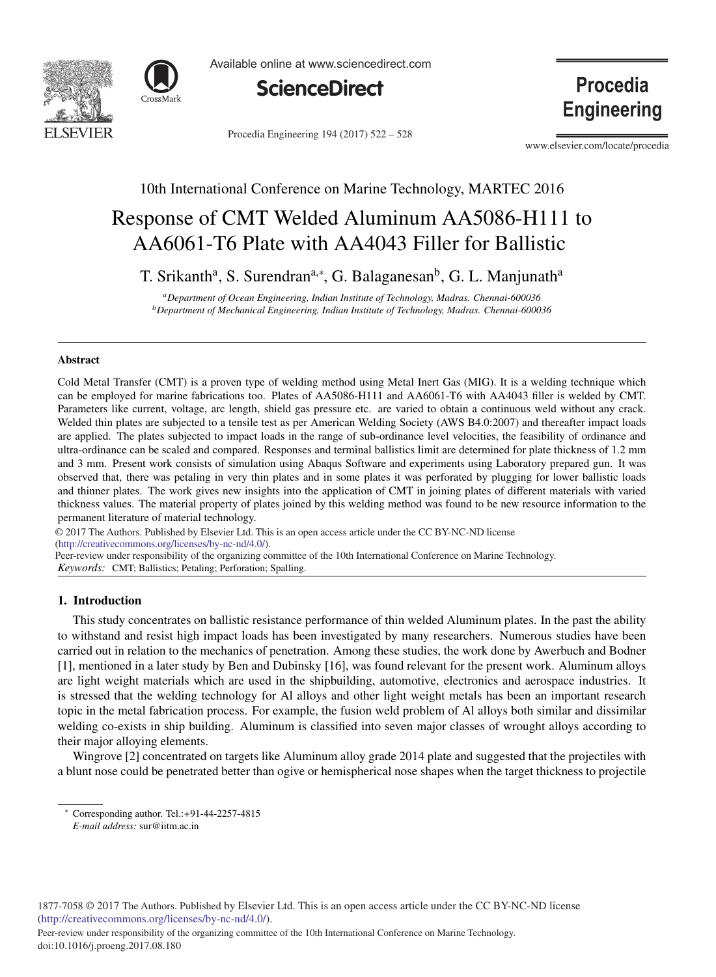



Available online at www.sciencedirect.com



Procedia Engineering 194 (2017) 522 - 528

**Procedia Engineering** 

www.elsevier.com/locate/procedia

## 10th International Conference on Marine Technology, MARTEC 2016

# Response of CMT Welded Aluminum AA5086-H111 to AA6061-T6 Plate with AA4043 Filler for Ballistic

T. Srikanth<sup>a</sup>, S. Surendran<sup>a,∗</sup>, G. Balaganesan<sup>b</sup>, G. L. Manjunath<sup>a</sup>

*aDepartment of Ocean Engineering, Indian Institute of Technology, Madras. Chennai-600036 bDepartment of Mechanical Engineering, Indian Institute of Technology, Madras. Chennai-600036*

#### Abstract

Cold Metal Transfer (CMT) is a proven type of welding method using Metal Inert Gas (MIG). It is a welding technique which can be employed for marine fabrications too. Plates of AA5086-H111 and AA6061-T6 with AA4043 filler is welded by CMT. Parameters like current, voltage, arc length, shield gas pressure etc. are varied to obtain a continuous weld without any crack. Welded thin plates are subjected to a tensile test as per American Welding Society (AWS B4.0:2007) and thereafter impact loads are applied. The plates subjected to impact loads in the range of sub-ordinance level velocities, the feasibility of ordinance and ultra-ordinance can be scaled and compared. Responses and terminal ballistics limit are determined for plate thickness of 1.2 mm and 3 mm. Present work consists of simulation using Abaqus Software and experiments using Laboratory prepared gun. It was observed that, there was petaling in very thin plates and in some plates it was perforated by plugging for lower ballistic loads and thinner plates. The work gives new insights into the application of CMT in joining plates of different materials with varied thickness values. The material property of plates joined by this welding method was found to be new resource information to the permanent literature of material technology.

c 2017 The Authors. Published by Elsevier Ltd. © 2017 The Authors. Published by Elsevier Ltd. This is an open access article under the CC BY-NC-ND license (http://creativecommons.org/licenses/by-nc-nd/4.0/). Peer-review under responsibility of the organizing committee of the 10th International Conference on Marine Technology.

*Keywords:* CMT; Ballistics; Petaling; Perforation; Spalling.

## 1. Introduction

This study concentrates on ballistic resistance performance of thin welded Aluminum plates. In the past the ability to withstand and resist high impact loads has been investigated by many researchers. Numerous studies have been carried out in relation to the mechanics of penetration. Among these studies, the work done by Awerbuch and Bodner [1], mentioned in a later study by Ben and Dubinsky [16], was found relevant for the present work. Aluminum alloys are light weight materials which are used in the shipbuilding, automotive, electronics and aerospace industries. It is stressed that the welding technology for Al alloys and other light weight metals has been an important research topic in the metal fabrication process. For example, the fusion weld problem of Al alloys both similar and dissimilar welding co-exists in ship building. Aluminum is classified into seven major classes of wrought alloys according to their major alloying elements.

Wingrove [2] concentrated on targets like Aluminum alloy grade 2014 plate and suggested that the projectiles with a blunt nose could be penetrated better than ogive or hemispherical nose shapes when the target thickness to projectile

<sup>∗</sup> Corresponding author. Tel.:+91-44-2257-4815

*E-mail address:* sur@iitm.ac.in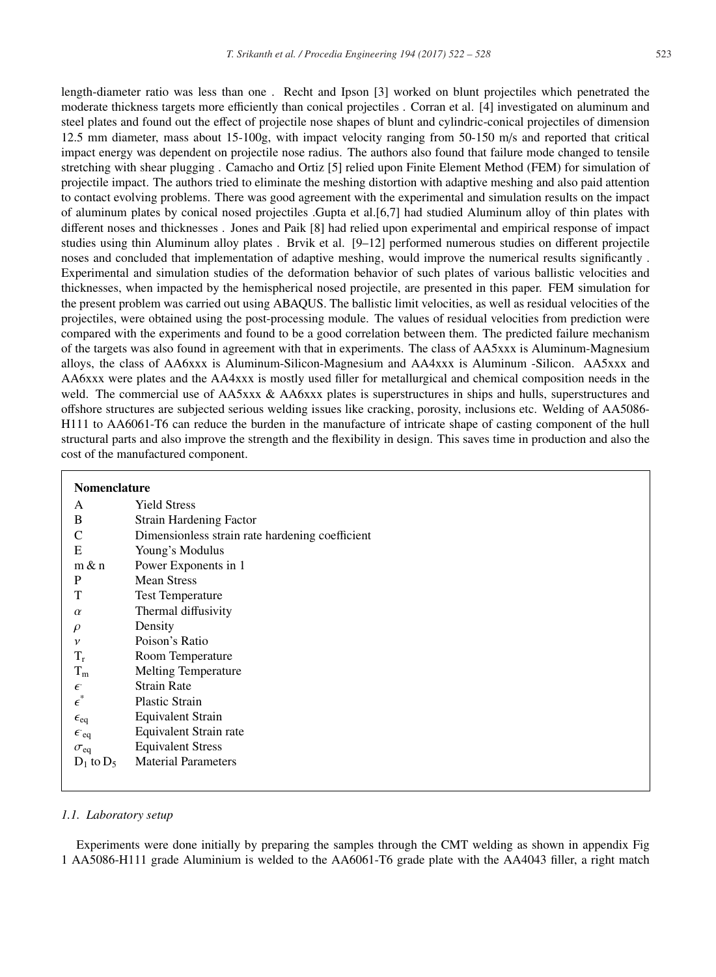length-diameter ratio was less than one . Recht and Ipson [3] worked on blunt projectiles which penetrated the moderate thickness targets more efficiently than conical projectiles . Corran et al. [4] investigated on aluminum and steel plates and found out the effect of projectile nose shapes of blunt and cylindric-conical projectiles of dimension 12.5 mm diameter, mass about 15-100g, with impact velocity ranging from 50-150 m/s and reported that critical impact energy was dependent on projectile nose radius. The authors also found that failure mode changed to tensile stretching with shear plugging . Camacho and Ortiz [5] relied upon Finite Element Method (FEM) for simulation of projectile impact. The authors tried to eliminate the meshing distortion with adaptive meshing and also paid attention to contact evolving problems. There was good agreement with the experimental and simulation results on the impact of aluminum plates by conical nosed projectiles .Gupta et al.[6,7] had studied Aluminum alloy of thin plates with different noses and thicknesses . Jones and Paik [8] had relied upon experimental and empirical response of impact studies using thin Aluminum alloy plates . Brvik et al. [9–12] performed numerous studies on different projectile noses and concluded that implementation of adaptive meshing, would improve the numerical results significantly . Experimental and simulation studies of the deformation behavior of such plates of various ballistic velocities and thicknesses, when impacted by the hemispherical nosed projectile, are presented in this paper. FEM simulation for the present problem was carried out using ABAQUS. The ballistic limit velocities, as well as residual velocities of the projectiles, were obtained using the post-processing module. The values of residual velocities from prediction were compared with the experiments and found to be a good correlation between them. The predicted failure mechanism of the targets was also found in agreement with that in experiments. The class of AA5xxx is Aluminum-Magnesium alloys, the class of AA6xxx is Aluminum-Silicon-Magnesium and AA4xxx is Aluminum -Silicon. AA5xxx and AA6xxx were plates and the AA4xxx is mostly used filler for metallurgical and chemical composition needs in the weld. The commercial use of AA5xxx & AA6xxx plates is superstructures in ships and hulls, superstructures and offshore structures are subjected serious welding issues like cracking, porosity, inclusions etc. Welding of AA5086- H111 to AA6061-T6 can reduce the burden in the manufacture of intricate shape of casting component of the hull structural parts and also improve the strength and the flexibility in design. This saves time in production and also the cost of the manufactured component.

| <b>Nomenclature</b>    |                                                 |  |  |  |
|------------------------|-------------------------------------------------|--|--|--|
| A                      | <b>Yield Stress</b>                             |  |  |  |
| B                      | <b>Strain Hardening Factor</b>                  |  |  |  |
| $\mathsf{C}$           | Dimensionless strain rate hardening coefficient |  |  |  |
| Ε                      | Young's Modulus                                 |  |  |  |
| $m \& n$               | Power Exponents in 1                            |  |  |  |
| P                      | <b>Mean Stress</b>                              |  |  |  |
| T                      | <b>Test Temperature</b>                         |  |  |  |
| $\alpha$               | Thermal diffusivity                             |  |  |  |
| $\rho$                 | Density                                         |  |  |  |
| $\mathcal V$           | Poison's Ratio                                  |  |  |  |
| $T_r$                  | Room Temperature                                |  |  |  |
| $T_{\rm m}$            | <b>Melting Temperature</b>                      |  |  |  |
| $\epsilon$             | <b>Strain Rate</b>                              |  |  |  |
| $\epsilon^*$           | <b>Plastic Strain</b>                           |  |  |  |
| $\epsilon_{\text{eq}}$ | <b>Equivalent Strain</b>                        |  |  |  |
| $\epsilon_{eq}$        | Equivalent Strain rate                          |  |  |  |
| $\sigma_{\rm eq}$      | <b>Equivalent Stress</b>                        |  |  |  |
| $D_1$ to $D_5$         | <b>Material Parameters</b>                      |  |  |  |
|                        |                                                 |  |  |  |

## *1.1. Laboratory setup*

Experiments were done initially by preparing the samples through the CMT welding as shown in appendix Fig 1 AA5086-H111 grade Aluminium is welded to the AA6061-T6 grade plate with the AA4043 filler, a right match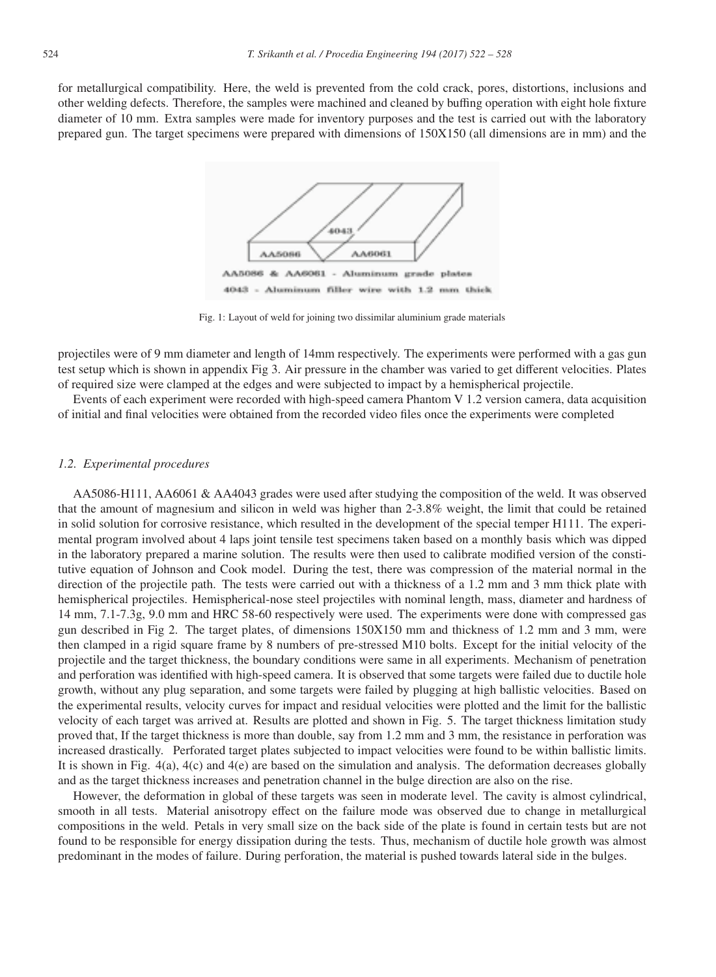for metallurgical compatibility. Here, the weld is prevented from the cold crack, pores, distortions, inclusions and other welding defects. Therefore, the samples were machined and cleaned by buffing operation with eight hole fixture diameter of 10 mm. Extra samples were made for inventory purposes and the test is carried out with the laboratory prepared gun. The target specimens were prepared with dimensions of 150X150 (all dimensions are in mm) and the



Fig. 1: Layout of weld for joining two dissimilar aluminium grade materials

projectiles were of 9 mm diameter and length of 14mm respectively. The experiments were performed with a gas gun test setup which is shown in appendix Fig 3. Air pressure in the chamber was varied to get different velocities. Plates of required size were clamped at the edges and were subjected to impact by a hemispherical projectile.

Events of each experiment were recorded with high-speed camera Phantom V 1.2 version camera, data acquisition of initial and final velocities were obtained from the recorded video files once the experiments were completed

## *1.2. Experimental procedures*

AA5086-H111, AA6061 & AA4043 grades were used after studying the composition of the weld. It was observed that the amount of magnesium and silicon in weld was higher than 2-3.8% weight, the limit that could be retained in solid solution for corrosive resistance, which resulted in the development of the special temper H111. The experimental program involved about 4 laps joint tensile test specimens taken based on a monthly basis which was dipped in the laboratory prepared a marine solution. The results were then used to calibrate modified version of the constitutive equation of Johnson and Cook model. During the test, there was compression of the material normal in the direction of the projectile path. The tests were carried out with a thickness of a 1.2 mm and 3 mm thick plate with hemispherical projectiles. Hemispherical-nose steel projectiles with nominal length, mass, diameter and hardness of 14 mm, 7.1-7.3g, 9.0 mm and HRC 58-60 respectively were used. The experiments were done with compressed gas gun described in Fig 2. The target plates, of dimensions 150X150 mm and thickness of 1.2 mm and 3 mm, were then clamped in a rigid square frame by 8 numbers of pre-stressed M10 bolts. Except for the initial velocity of the projectile and the target thickness, the boundary conditions were same in all experiments. Mechanism of penetration and perforation was identified with high-speed camera. It is observed that some targets were failed due to ductile hole growth, without any plug separation, and some targets were failed by plugging at high ballistic velocities. Based on the experimental results, velocity curves for impact and residual velocities were plotted and the limit for the ballistic velocity of each target was arrived at. Results are plotted and shown in Fig. 5. The target thickness limitation study proved that, If the target thickness is more than double, say from 1.2 mm and 3 mm, the resistance in perforation was increased drastically. Perforated target plates subjected to impact velocities were found to be within ballistic limits. It is shown in Fig. 4(a), 4(c) and 4(e) are based on the simulation and analysis. The deformation decreases globally and as the target thickness increases and penetration channel in the bulge direction are also on the rise.

However, the deformation in global of these targets was seen in moderate level. The cavity is almost cylindrical, smooth in all tests. Material anisotropy effect on the failure mode was observed due to change in metallurgical compositions in the weld. Petals in very small size on the back side of the plate is found in certain tests but are not found to be responsible for energy dissipation during the tests. Thus, mechanism of ductile hole growth was almost predominant in the modes of failure. During perforation, the material is pushed towards lateral side in the bulges.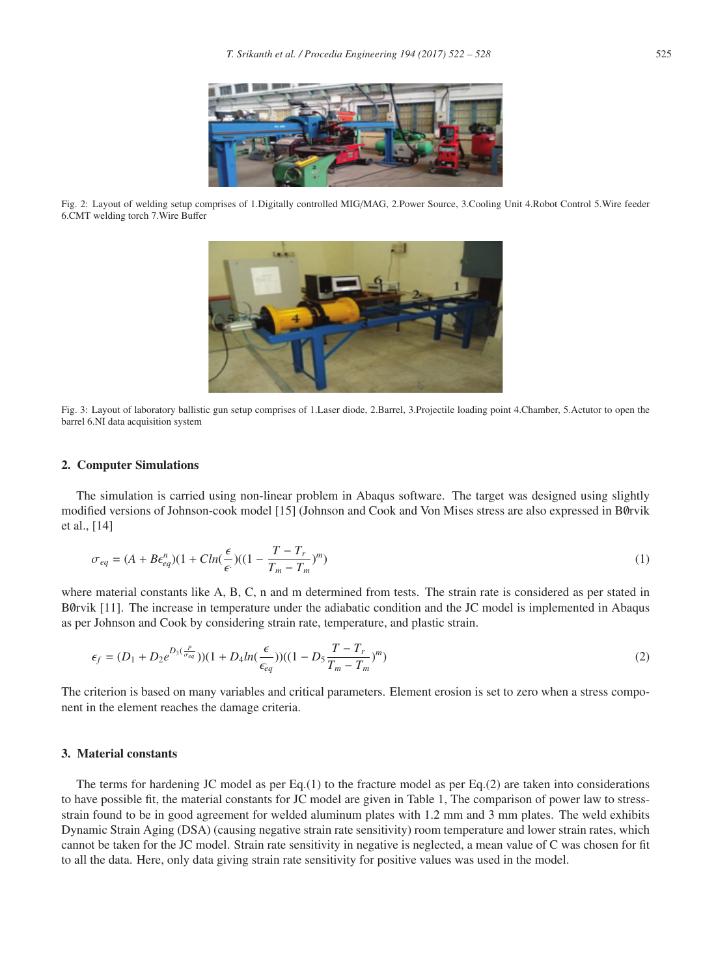

Fig. 2: Layout of welding setup comprises of 1.Digitally controlled MIG/MAG, 2.Power Source, 3.Cooling Unit 4.Robot Control 5.Wire feeder 6.CMT welding torch 7.Wire Buffer



Fig. 3: Layout of laboratory ballistic gun setup comprises of 1.Laser diode, 2.Barrel, 3.Projectile loading point 4.Chamber, 5.Actutor to open the barrel 6.NI data acquisition system

#### 2. Computer Simulations

The simulation is carried using non-linear problem in Abaqus software. The target was designed using slightly modified versions of Johnson-cook model [15] (Johnson and Cook and Von Mises stress are also expressed in BØrvik et al., [14]

$$
\sigma_{eq} = (A + B\epsilon_{eq}^n)(1 + C\ln(\frac{\epsilon}{\epsilon})((1 - \frac{T - T_r}{T_m - T_m})^m)
$$
\n(1)

where material constants like A, B, C, n and m determined from tests. The strain rate is considered as per stated in B∅rvik [11]. The increase in temperature under the adiabatic condition and the JC model is implemented in Abaqus as per Johnson and Cook by considering strain rate, temperature, and plastic strain.

$$
\epsilon_f = (D_1 + D_2 e^{D_3(\frac{P}{\sigma_{eq}})})(1 + D_4 \ln(\frac{\epsilon}{\epsilon_{eq}}))((1 - D_5 \frac{T - T_r}{T_m - T_m})^m)
$$
\n(2)

The criterion is based on many variables and critical parameters. Element erosion is set to zero when a stress component in the element reaches the damage criteria.

## 3. Material constants

The terms for hardening JC model as per  $Eq.(1)$  to the fracture model as per  $Eq.(2)$  are taken into considerations to have possible fit, the material constants for JC model are given in Table 1, The comparison of power law to stressstrain found to be in good agreement for welded aluminum plates with 1.2 mm and 3 mm plates. The weld exhibits Dynamic Strain Aging (DSA) (causing negative strain rate sensitivity) room temperature and lower strain rates, which cannot be taken for the JC model. Strain rate sensitivity in negative is neglected, a mean value of C was chosen for fit to all the data. Here, only data giving strain rate sensitivity for positive values was used in the model.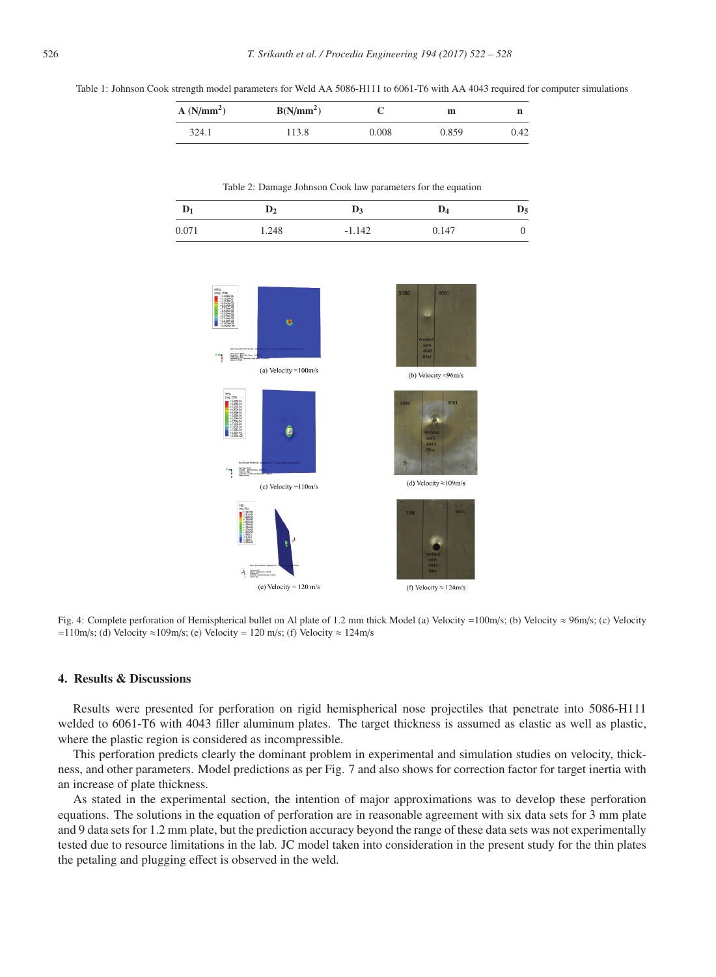Table 1: Johnson Cook strength model parameters for Weld AA 5086-H111 to 6061-T6 with AA 4043 required for computer simulations

| A(N/mm <sup>2</sup> ) | $B(N/mm^2)$ |       | m     | n    |
|-----------------------|-------------|-------|-------|------|
| 324.1                 | 113.8       | 0.008 | 0.859 | J.42 |

Table 2: Damage Johnson Cook law parameters for the equation

| $D_1$ |       |          | $\mathbf{D_4}$ | $\mathbf{D}_5$ |
|-------|-------|----------|----------------|----------------|
| 0.071 | 1.248 | $-1.142$ | 0.147          |                |



Fig. 4: Complete perforation of Hemispherical bullet on Al plate of 1.2 mm thick Model (a) Velocity =100m/s; (b) Velocity ≈ 96m/s; (c) Velocity =110m/s; (d) Velocity  $\approx$ 109m/s; (e) Velocity = 120 m/s; (f) Velocity  $\approx$  124m/s

### 4. Results & Discussions

Results were presented for perforation on rigid hemispherical nose projectiles that penetrate into 5086-H111 welded to 6061-T6 with 4043 filler aluminum plates. The target thickness is assumed as elastic as well as plastic, where the plastic region is considered as incompressible.

This perforation predicts clearly the dominant problem in experimental and simulation studies on velocity, thickness, and other parameters. Model predictions as per Fig. 7 and also shows for correction factor for target inertia with an increase of plate thickness.

As stated in the experimental section, the intention of major approximations was to develop these perforation equations. The solutions in the equation of perforation are in reasonable agreement with six data sets for 3 mm plate and 9 data sets for 1.2 mm plate, but the prediction accuracy beyond the range of these data sets was not experimentally tested due to resource limitations in the lab. JC model taken into consideration in the present study for the thin plates the petaling and plugging effect is observed in the weld.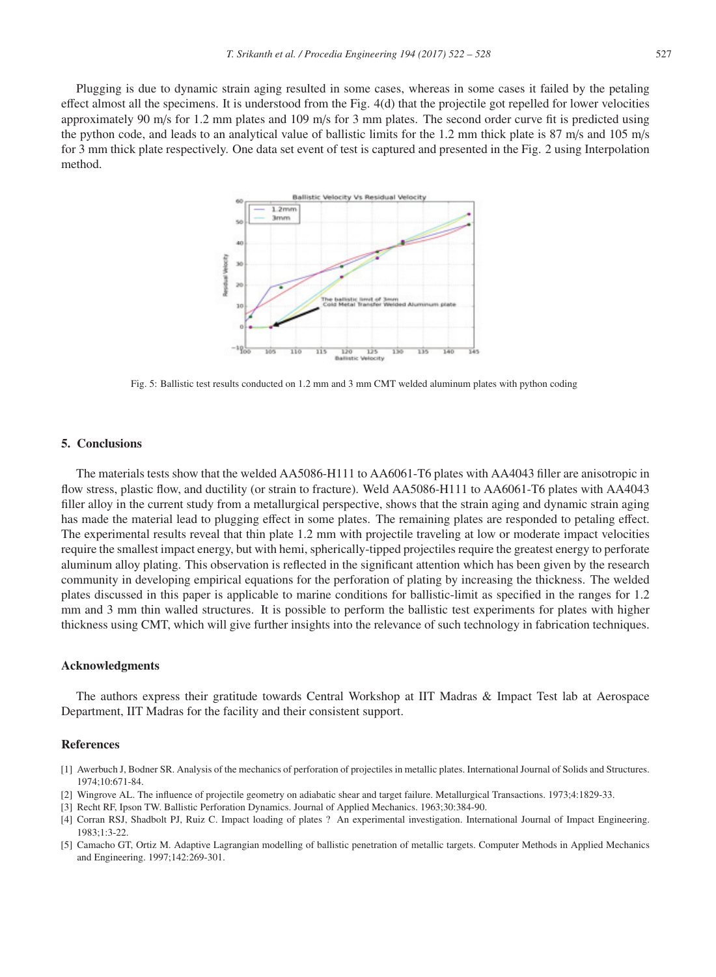Plugging is due to dynamic strain aging resulted in some cases, whereas in some cases it failed by the petaling effect almost all the specimens. It is understood from the Fig. 4(d) that the projectile got repelled for lower velocities approximately 90 m/s for 1.2 mm plates and 109 m/s for 3 mm plates. The second order curve fit is predicted using the python code, and leads to an analytical value of ballistic limits for the 1.2 mm thick plate is 87 m/s and 105 m/s for 3 mm thick plate respectively. One data set event of test is captured and presented in the Fig. 2 using Interpolation method.



Fig. 5: Ballistic test results conducted on 1.2 mm and 3 mm CMT welded aluminum plates with python coding

#### 5. Conclusions

The materials tests show that the welded AA5086-H111 to AA6061-T6 plates with AA4043 filler are anisotropic in flow stress, plastic flow, and ductility (or strain to fracture). Weld AA5086-H111 to AA6061-T6 plates with AA4043 filler alloy in the current study from a metallurgical perspective, shows that the strain aging and dynamic strain aging has made the material lead to plugging effect in some plates. The remaining plates are responded to petaling effect. The experimental results reveal that thin plate 1.2 mm with projectile traveling at low or moderate impact velocities require the smallest impact energy, but with hemi, spherically-tipped projectiles require the greatest energy to perforate aluminum alloy plating. This observation is reflected in the significant attention which has been given by the research community in developing empirical equations for the perforation of plating by increasing the thickness. The welded plates discussed in this paper is applicable to marine conditions for ballistic-limit as specified in the ranges for 1.2 mm and 3 mm thin walled structures. It is possible to perform the ballistic test experiments for plates with higher thickness using CMT, which will give further insights into the relevance of such technology in fabrication techniques.

#### Acknowledgments

The authors express their gratitude towards Central Workshop at IIT Madras & Impact Test lab at Aerospace Department, IIT Madras for the facility and their consistent support.

## References

- [1] Awerbuch J, Bodner SR. Analysis of the mechanics of perforation of projectiles in metallic plates. International Journal of Solids and Structures. 1974;10:671-84.
- [2] Wingrove AL. The influence of projectile geometry on adiabatic shear and target failure. Metallurgical Transactions. 1973;4:1829-33.
- [3] Recht RF, Ipson TW. Ballistic Perforation Dynamics. Journal of Applied Mechanics. 1963;30:384-90.
- [4] Corran RSJ, Shadbolt PJ, Ruiz C. Impact loading of plates ? An experimental investigation. International Journal of Impact Engineering. 1983;1:3-22.
- [5] Camacho GT, Ortiz M. Adaptive Lagrangian modelling of ballistic penetration of metallic targets. Computer Methods in Applied Mechanics and Engineering. 1997;142:269-301.